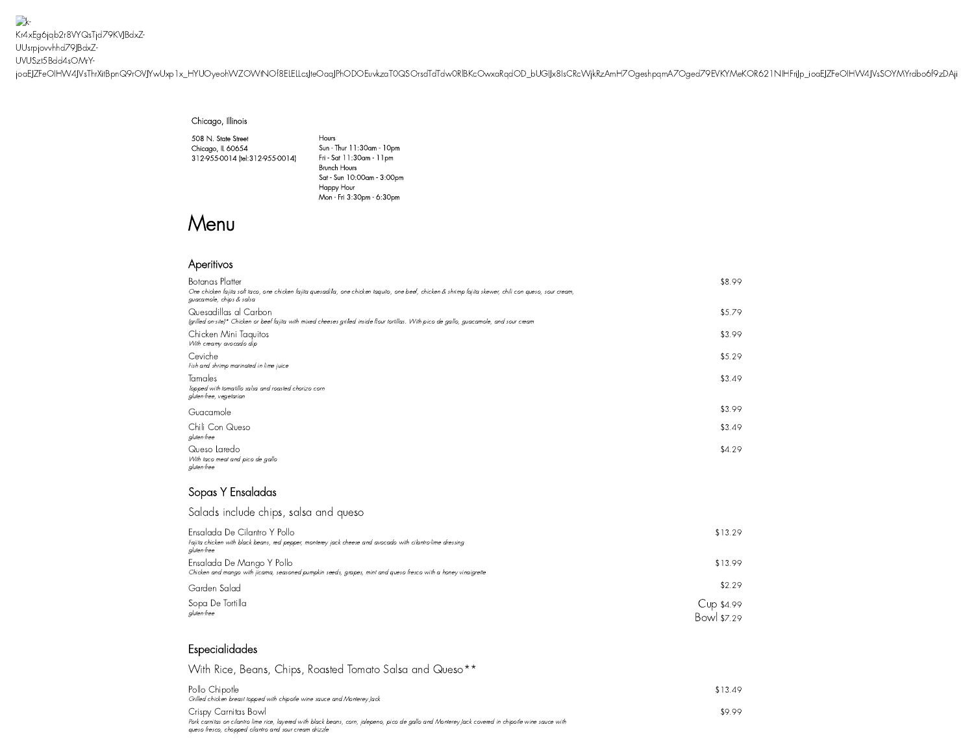$\rightarrow$ Kr4xEg6jqb2r8VYQsTjd79KVJBdxZ-UUsrpjovvhhd79JBdxZ-UVUSzt5Bdd4sOMrY[joaEJZFeOIHW4JVsThrXitBpnQ9rOVJYwUxp1x\\_HYUOyeohWZOWtNOf8ELELLcsJte](https://www.cantinalaredo.com/)OaqJPhODOEuvkzaT0QSOrsdTdTdw0RlBKcOwxaRqdOD\_bUGIJx8IsCRcWjkRzAmH7OgeshpqmA7Oged79EVKYMeKOR621NIHFriJp\_ioaEJZFeOIHW4JVsSOYMYrdbo6f9zDAji

#### Chicago, Illinois

508 N. State Street Chicago, IL 60654 312-955-0014 [\(tel:312-955-0014\)](tel:312-955-0014)

Hours Sun - Thur 11:30am -10pm Fri - Sat 11:30am -11pm Brunch Hours Sat - Sun 10:00am - 3:00pm Happy Hour Mon - Fri 3:30pm - 6:30pm

# Menu

# Aperitivos

| Botanas Platter<br>One chicken fajita soft taco, one chicken fajita quesadilla, one chicken taquito, one beef, chicken & shrimp fajita skewer, chili con queso, sour cream,<br>guacamole, chips & salsa | \$8.99 |
|---------------------------------------------------------------------------------------------------------------------------------------------------------------------------------------------------------|--------|
| Quesadillas al Carbon<br>(grilled on-site)* Chicken or beef fajita with mixed cheeses grilled inside flour tortillas. With pico de gallo, guacamole, and sour cream                                     | \$5.79 |
| Chicken Mini Taquitos<br>With creamy avocado dip                                                                                                                                                        | \$3.99 |
| Ceviche<br>Fish and shrimp marinated in lime juice                                                                                                                                                      | \$5.29 |
| Tamales<br>Topped with tomatillo salsa and roasted chorizo corn<br>gluten-free, vegetarian                                                                                                              | \$3.49 |
| Guacamole                                                                                                                                                                                               | \$3.99 |
| Chili Con Queso<br>gluten-free                                                                                                                                                                          | \$3.49 |
| Queso Laredo<br>With taco meat and pico de gallo<br>gluten-free                                                                                                                                         | \$4.29 |

# Sopas Y Ensaladas

Salads include chips, salsa and queso

| Ensalada De Cilantro Y Pollo<br>Fajita chicken with black beans, red pepper, monterey jack cheese and avocado with cilantro-lime dressing<br>aluten-free | \$13.29                   |
|----------------------------------------------------------------------------------------------------------------------------------------------------------|---------------------------|
| Ensalada De Mango Y Pollo<br>Chicken and mango with jicama, seasoned pumpkin seeds, grapes, mint and queso fresco with a honey vinaigrette               | \$13.99                   |
| Garden Salad                                                                                                                                             | \$2.29                    |
| Sopa De Tortilla<br>aluten-free                                                                                                                          | Cup \$4.99<br>Bowl \$7.29 |

### Especialidades

With Rice, Beans, Chips, Roasted Tomato Salsa and Queso\*\*

| Pollo Chipotle<br>Grilled chicken breast topped with chipotle wine sauce and Monterey Jack                                                         | \$13.49 |
|----------------------------------------------------------------------------------------------------------------------------------------------------|---------|
| Crispy Carnitas Bowl                                                                                                                               | \$9.99  |
| Pork carnitas on cilantro lime rice, layered with black beans, corn, jalepeno, pico de gallo and Monterey Jack covered in chipotle wine sauce with |         |
| aueso fresco, chopped cilantro and sour cream drizzle                                                                                              |         |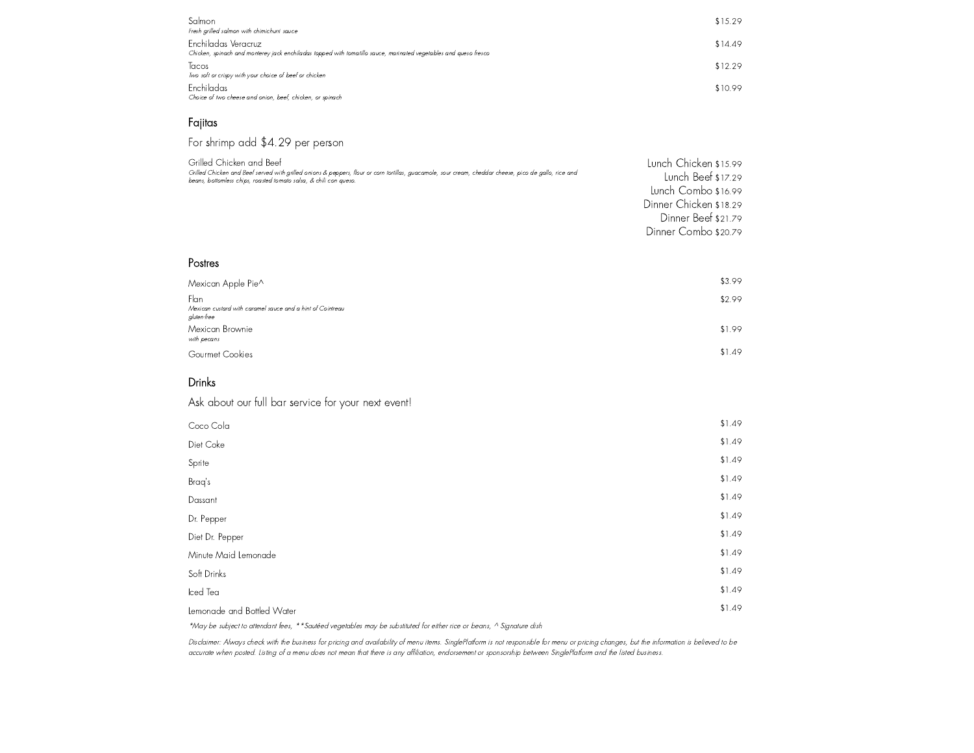| Salmon<br>Fresh grilled salmon with chimichurri sauce                                                                                   | \$15.29 |
|-----------------------------------------------------------------------------------------------------------------------------------------|---------|
| Enchiladas Veracruz<br>Chicken, spinach and monterey jack enchiladas topped with tomatillo sauce, marinated vegetables and queso fresco | \$14.49 |
| Tacos<br>Two soft or crispy with your choice of beef or chicken                                                                         | \$12.29 |
| <b>Enchiladas</b><br>Choice of two cheese and onion, beef, chicken, or spinach                                                          | \$10.99 |

# Fajitas

For shrimp add \$4.29 per person

| Grilled Chicken and Beef                                                                                                                                                                                                    | Lunch Chicken \$15.99  |
|-----------------------------------------------------------------------------------------------------------------------------------------------------------------------------------------------------------------------------|------------------------|
| Grilled Chicken and Beef served with grilled onions & peppers, flour or corn tortillas, guacamole, sour cream, cheddar cheese, pico de gallo, rice and<br>beans, bottomless chips, roasted tomato salsa, & chili con queso. | Lunch Beef \$17.29     |
|                                                                                                                                                                                                                             | Lunch Combo \$16.99    |
|                                                                                                                                                                                                                             | Dinner Chicken \$18.29 |
|                                                                                                                                                                                                                             | Dinner Beef \$21.79    |
|                                                                                                                                                                                                                             | Dinner Combo \$20.79   |

#### Postres

| Mexican Apple Pie^                                                                | \$3.99 |
|-----------------------------------------------------------------------------------|--------|
| Flan<br>Mexican custard with caramel sauce and a hint of Cointreau<br>gluten-free | \$2.99 |
| Mexican Brownie<br>with pecans                                                    | \$1.99 |
| Gourmet Cookies                                                                   | \$1.49 |

# Drinks

Ask about our full bar service for your next event!

| Coco Cola                                                                                                                                                                                                                     | \$1.49 |
|-------------------------------------------------------------------------------------------------------------------------------------------------------------------------------------------------------------------------------|--------|
| Diet Coke                                                                                                                                                                                                                     | \$1.49 |
| Sprite                                                                                                                                                                                                                        | \$1.49 |
| Braq's                                                                                                                                                                                                                        | \$1.49 |
| Dassant                                                                                                                                                                                                                       | \$1.49 |
| Dr. Pepper                                                                                                                                                                                                                    | \$1.49 |
| Diet Dr. Pepper                                                                                                                                                                                                               | \$1.49 |
| Minute Maid Lemonade                                                                                                                                                                                                          | \$1.49 |
| Soft Drinks                                                                                                                                                                                                                   | \$1.49 |
| Iced Tea                                                                                                                                                                                                                      | \$1.49 |
| Lemonade and Bottled Water                                                                                                                                                                                                    | \$1.49 |
| was the second of the second and the second and the second second second second with the second second second second second second second second second second second second second second second second second second second |        |

\*May be subject to attendant fees, \*\*Sautéed vegetables may be substituted for either rice or beans, ^ Signature dish

Disclaimer: Always check with the business for pricing and availability of menu items. SinglePlatform is not responsible for menu or pricing changes, but the information is believed to be accurate when posted. Listing of <sup>a</sup> menu does not mean that there is any affiliation, endorsement or sponsorship between SinglePlatform and the listed business.